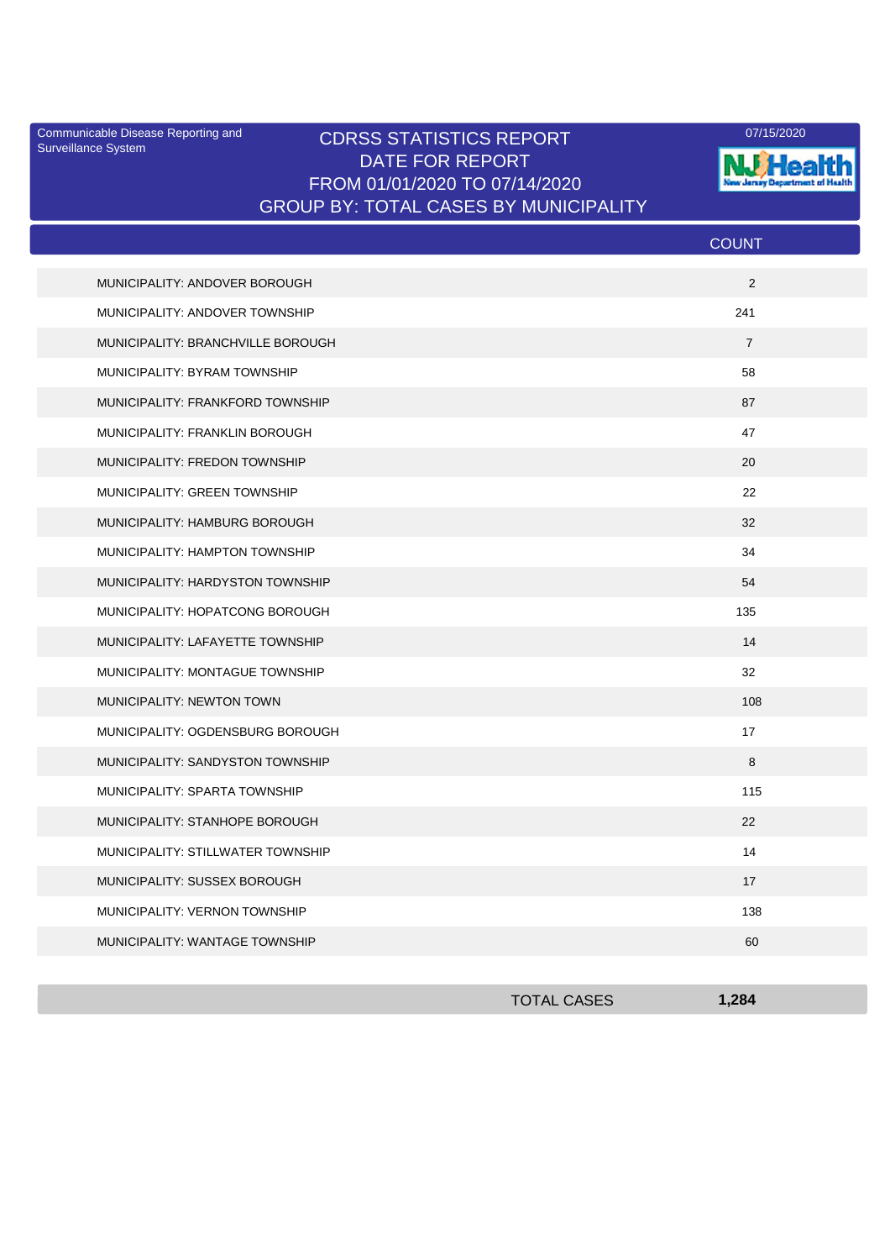Surveillance System

## Communicable Disease Reporting and CDRSS STATISTICS REPORT 07/15/2020<br>Surveillance System DATE FOR REPORT FROM 01/01/2020 TO 07/14/2020 GROUP BY: TOTAL CASES BY MUNICIPALITY



|                                   | <b>COUNT</b>   |
|-----------------------------------|----------------|
| MUNICIPALITY: ANDOVER BOROUGH     | 2              |
| MUNICIPALITY: ANDOVER TOWNSHIP    | 241            |
| MUNICIPALITY: BRANCHVILLE BOROUGH | $\overline{7}$ |
| MUNICIPALITY: BYRAM TOWNSHIP      | 58             |
| MUNICIPALITY: FRANKFORD TOWNSHIP  | 87             |
| MUNICIPALITY: FRANKLIN BOROUGH    | 47             |
| MUNICIPALITY: FREDON TOWNSHIP     | 20             |
| MUNICIPALITY: GREEN TOWNSHIP      | 22             |
| MUNICIPALITY: HAMBURG BOROUGH     | 32             |
| MUNICIPALITY: HAMPTON TOWNSHIP    | 34             |
| MUNICIPALITY: HARDYSTON TOWNSHIP  | 54             |
| MUNICIPALITY: HOPATCONG BOROUGH   | 135            |
| MUNICIPALITY: LAFAYETTE TOWNSHIP  | 14             |
| MUNICIPALITY: MONTAGUE TOWNSHIP   | 32             |
| MUNICIPALITY: NEWTON TOWN         | 108            |
| MUNICIPALITY: OGDENSBURG BOROUGH  | 17             |
| MUNICIPALITY: SANDYSTON TOWNSHIP  | 8              |
| MUNICIPALITY: SPARTA TOWNSHIP     | 115            |
| MUNICIPALITY: STANHOPE BOROUGH    | 22             |
| MUNICIPALITY: STILLWATER TOWNSHIP | 14             |
| MUNICIPALITY: SUSSEX BOROUGH      | 17             |
| MUNICIPALITY: VERNON TOWNSHIP     | 138            |
| MUNICIPALITY: WANTAGE TOWNSHIP    | 60             |

| <b>TOTAL CASES</b> | 1,284 |
|--------------------|-------|
|                    |       |